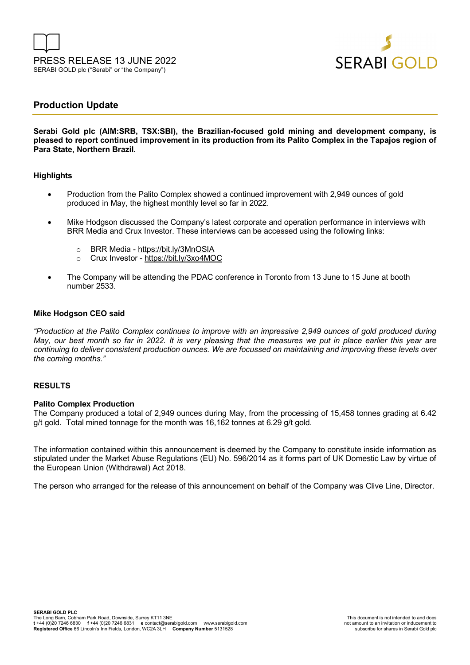



# **Production Update**

**Serabi Gold plc (AIM:SRB, TSX:SBI), the Brazilian-focused gold mining and development company, is pleased to report continued improvement in its production from its Palito Complex in the Tapajos region of Para State, Northern Brazil.** 

#### **Highlights**

- Production from the Palito Complex showed a continued improvement with 2,949 ounces of gold produced in May, the highest monthly level so far in 2022.
- Mike Hodgson discussed the Company's latest corporate and operation performance in interviews with BRR Media and Crux Investor. These interviews can be accessed using the following links:
	- o BRR Media https://bit.ly/3MnOSIA
	- o Crux Investor https://bit.ly/3xo4MOC
- The Company will be attending the PDAC conference in Toronto from 13 June to 15 June at booth number 2533.

#### **Mike Hodgson CEO said**

*"Production at the Palito Complex continues to improve with an impressive 2,949 ounces of gold produced during May, our best month so far in 2022. It is very pleasing that the measures we put in place earlier this year are continuing to deliver consistent production ounces. We are focussed on maintaining and improving these levels over the coming months."* 

### **RESULTS**

#### **Palito Complex Production**

The Company produced a total of 2,949 ounces during May, from the processing of 15,458 tonnes grading at 6.42 g/t gold. Total mined tonnage for the month was 16,162 tonnes at 6.29 g/t gold.

The information contained within this announcement is deemed by the Company to constitute inside information as stipulated under the Market Abuse Regulations (EU) No. 596/2014 as it forms part of UK Domestic Law by virtue of the European Union (Withdrawal) Act 2018.

The person who arranged for the release of this announcement on behalf of the Company was Clive Line, Director.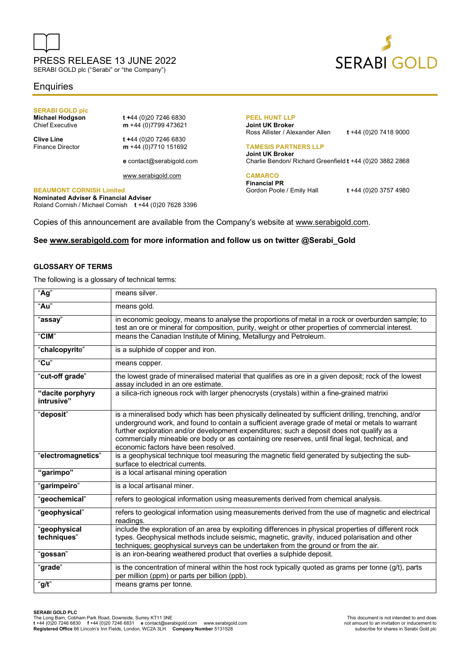

SERABI GOLD plc ("Serabi" or "the Company")

## **Enquiries**

# **SERABI GOLD plc**

**Michael Hodgson t +**44 (0)20 7246 6830<br>Chief Executive **m** +44 (0)7799 473621 m +44 (0)7799 473621

**Clive Line** t +44 (0)20 7246 6830<br>Finance Director **m** +44 (0)7710 151692 m +44 (0)7710 151692

**e** contact@serabigold.com

www.serabigold.com

#### **BEAUMONT CORNISH Limited**

**Nominated Adviser & Financial Adviser**  Roland Cornish / Michael Cornish **t** +44 (0)20 7628 3396

#### **PEEL HUNT LLP Joint UK Broker**

Ross Allister / Alexander Allen **t** +44 (0)20 7418 9000

#### **TAMESIS PARTNERS LLP**

**Joint UK Broker** Charlie Bendon/ Richard Greenfield **t** +44 (0)20 3882 2868

## **CAMARCO**

**Financial PR** Gordon Poole / Emily Hall **t** +44 (0)20 3757 4980

Copies of this announcement are available from the Company's website at www.serabigold.com.

#### **See www.serabigold.com for more information and follow us on twitter @Serabi\_Gold**

#### **GLOSSARY OF TERMS**

The following is a glossary of technical terms:

| "Ag"                           | means silver.                                                                                                                                                                                                                                                                                                                                                                                                                                   |
|--------------------------------|-------------------------------------------------------------------------------------------------------------------------------------------------------------------------------------------------------------------------------------------------------------------------------------------------------------------------------------------------------------------------------------------------------------------------------------------------|
| "Au"                           | means gold.                                                                                                                                                                                                                                                                                                                                                                                                                                     |
| "assay"                        | in economic geology, means to analyse the proportions of metal in a rock or overburden sample; to<br>test an ore or mineral for composition, purity, weight or other properties of commercial interest.                                                                                                                                                                                                                                         |
| "CIM"                          | means the Canadian Institute of Mining, Metallurgy and Petroleum.                                                                                                                                                                                                                                                                                                                                                                               |
| "chalcopyrite"                 | is a sulphide of copper and iron.                                                                                                                                                                                                                                                                                                                                                                                                               |
| "Cu"                           | means copper.                                                                                                                                                                                                                                                                                                                                                                                                                                   |
| "cut-off grade"                | the lowest grade of mineralised material that qualifies as ore in a given deposit; rock of the lowest<br>assay included in an ore estimate.                                                                                                                                                                                                                                                                                                     |
| "dacite porphyry<br>intrusive" | a silica-rich igneous rock with larger phenocrysts (crystals) within a fine-grained matrixi                                                                                                                                                                                                                                                                                                                                                     |
| "deposiť"                      | is a mineralised body which has been physically delineated by sufficient drilling, trenching, and/or<br>underground work, and found to contain a sufficient average grade of metal or metals to warrant<br>further exploration and/or development expenditures; such a deposit does not qualify as a<br>commercially mineable ore body or as containing ore reserves, until final legal, technical, and<br>economic factors have been resolved. |
| "electromagnetics"             | is a geophysical technique tool measuring the magnetic field generated by subjecting the sub-<br>surface to electrical currents.                                                                                                                                                                                                                                                                                                                |
| "garimpo"                      | is a local artisanal mining operation                                                                                                                                                                                                                                                                                                                                                                                                           |
| "garimpeiro"                   | is a local artisanal miner.                                                                                                                                                                                                                                                                                                                                                                                                                     |
| "geochemical"                  | refers to geological information using measurements derived from chemical analysis.                                                                                                                                                                                                                                                                                                                                                             |
| "geophysical"                  | refers to geological information using measurements derived from the use of magnetic and electrical<br>readings.                                                                                                                                                                                                                                                                                                                                |
| "geophysical<br>techniques"    | include the exploration of an area by exploiting differences in physical properties of different rock<br>types. Geophysical methods include seismic, magnetic, gravity, induced polarisation and other<br>techniques; geophysical surveys can be undertaken from the ground or from the air.                                                                                                                                                    |
| "gossan"                       | is an iron-bearing weathered product that overlies a sulphide deposit.                                                                                                                                                                                                                                                                                                                                                                          |
| "grade"<br>"g/t"               | is the concentration of mineral within the host rock typically quoted as grams per tonne $(g/t)$ , parts<br>per million (ppm) or parts per billion (ppb).<br>means grams per tonne.                                                                                                                                                                                                                                                             |